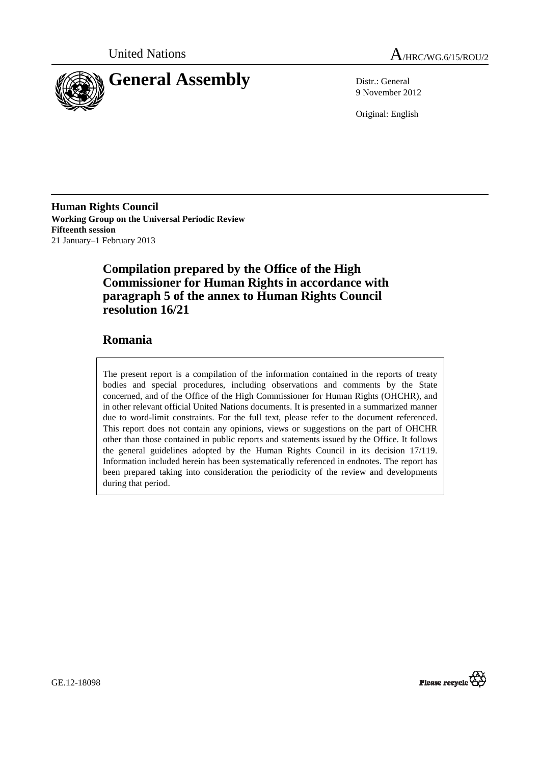



9 November 2012

Original: English

**Human Rights Council Working Group on the Universal Periodic Review Fifteenth session**  21 January–1 February 2013

## **Compilation prepared by the Office of the High Commissioner for Human Rights in accordance with paragraph 5 of the annex to Human Rights Council resolution 16/21**

## **Romania**

The present report is a compilation of the information contained in the reports of treaty bodies and special procedures, including observations and comments by the State concerned, and of the Office of the High Commissioner for Human Rights (OHCHR), and in other relevant official United Nations documents. It is presented in a summarized manner due to word-limit constraints. For the full text, please refer to the document referenced. This report does not contain any opinions, views or suggestions on the part of OHCHR other than those contained in public reports and statements issued by the Office. It follows the general guidelines adopted by the Human Rights Council in its decision 17/119. Information included herein has been systematically referenced in endnotes. The report has been prepared taking into consideration the periodicity of the review and developments during that period.

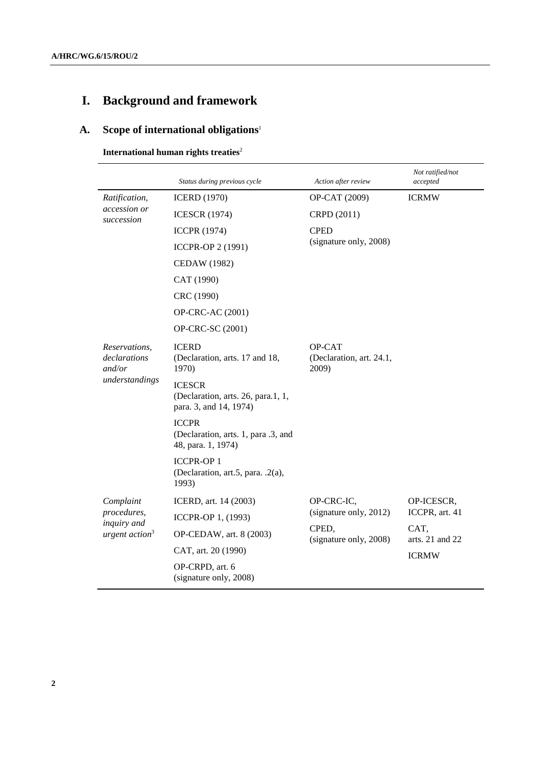# **I. Background and framework**

## **A. Scope of international obligations**<sup>1</sup>

### **International human rights treaties**<sup>2</sup>

|                                                             | Status during previous cycle                                                  | Action after review                                       | Not ratified/not<br>accepted            |
|-------------------------------------------------------------|-------------------------------------------------------------------------------|-----------------------------------------------------------|-----------------------------------------|
| Ratification,<br>accession or<br>succession                 | <b>ICERD</b> (1970)                                                           | OP-CAT (2009)                                             | <b>ICRMW</b>                            |
|                                                             | <b>ICESCR</b> (1974)                                                          | CRPD (2011)                                               |                                         |
|                                                             | <b>ICCPR (1974)</b>                                                           | <b>CPED</b>                                               |                                         |
|                                                             | <b>ICCPR-OP 2 (1991)</b>                                                      | (signature only, 2008)                                    |                                         |
|                                                             | CEDAW (1982)                                                                  |                                                           |                                         |
|                                                             | CAT (1990)                                                                    |                                                           |                                         |
|                                                             | CRC (1990)                                                                    |                                                           |                                         |
|                                                             | OP-CRC-AC (2001)                                                              |                                                           |                                         |
|                                                             | OP-CRC-SC (2001)                                                              |                                                           |                                         |
| Reservations,<br>declarations<br>and/or<br>understandings   | <b>ICERD</b><br>(Declaration, arts. 17 and 18,<br>1970)                       | OP-CAT<br>(Declaration, art. 24.1,<br>2009)               |                                         |
|                                                             | <b>ICESCR</b><br>(Declaration, arts. 26, para.1, 1,<br>para. 3, and 14, 1974) |                                                           |                                         |
|                                                             | <b>ICCPR</b><br>(Declaration, arts. 1, para .3, and<br>48, para. 1, 1974)     |                                                           |                                         |
|                                                             | <b>ICCPR-OP1</b><br>(Declaration, art.5, para. .2(a),<br>1993)                |                                                           |                                         |
| Complaint<br>procedures,<br>inquiry and<br>urgent $action3$ | ICERD, art. 14 (2003)                                                         | OP-CRC-IC,                                                | OP-ICESCR,                              |
|                                                             | ICCPR-OP 1, (1993)                                                            | (signature only, 2012)<br>CPED,<br>(signature only, 2008) | ICCPR, art. 41                          |
|                                                             | OP-CEDAW, art. 8 (2003)                                                       |                                                           | CAT,<br>arts. 21 and 22<br><b>ICRMW</b> |
|                                                             | CAT, art. 20 (1990)                                                           |                                                           |                                         |
|                                                             | OP-CRPD, art. 6<br>(signature only, 2008)                                     |                                                           |                                         |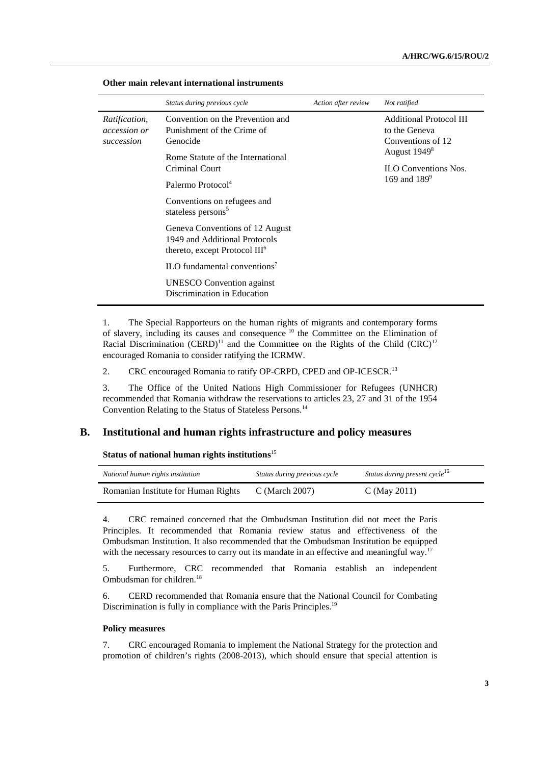|                                                    | Status during previous cycle                                                                                    | Action after review | Not ratified                                                                                     |
|----------------------------------------------------|-----------------------------------------------------------------------------------------------------------------|---------------------|--------------------------------------------------------------------------------------------------|
| <i>Ratification,</i><br>accession or<br>succession | Convention on the Prevention and<br>Punishment of the Crime of<br>Genocide<br>Rome Statute of the International |                     | <b>Additional Protocol III</b><br>to the Geneva<br>Conventions of 12<br>August 1949 <sup>8</sup> |
|                                                    | Criminal Court<br>Palermo Protocol <sup>4</sup>                                                                 |                     | <b>ILO Conventions Nos.</b><br>169 and $189^9$                                                   |
|                                                    | Conventions on refugees and<br>stateless persons <sup>5</sup>                                                   |                     |                                                                                                  |
|                                                    | Geneva Conventions of 12 August<br>1949 and Additional Protocols<br>thereto, except Protocol III <sup>6</sup>   |                     |                                                                                                  |
|                                                    | $\rm ILO$ fundamental conventions <sup>7</sup>                                                                  |                     |                                                                                                  |
|                                                    | <b>UNESCO</b> Convention against<br>Discrimination in Education                                                 |                     |                                                                                                  |

#### **Other main relevant international instruments**

1. The Special Rapporteurs on the human rights of migrants and contemporary forms of slavery, including its causes and consequence<sup>10</sup> the Committee on the Elimination of Racial Discrimination (CERD)<sup>11</sup> and the Committee on the Rights of the Child (CRC)<sup>12</sup> encouraged Romania to consider ratifying the ICRMW.

2. CRC encouraged Romania to ratify OP-CRPD, CPED and OP-ICESCR.<sup>13</sup>

3. The Office of the United Nations High Commissioner for Refugees (UNHCR) recommended that Romania withdraw the reservations to articles 23, 27 and 31 of the 1954 Convention Relating to the Status of Stateless Persons.<sup>14</sup>

#### **B. Institutional and human rights infrastructure and policy measures**

 **Status of national human rights institutions**<sup>15</sup>

| National human rights institution   | Status during previous cycle | Status during present cycle <sup>16</sup> |
|-------------------------------------|------------------------------|-------------------------------------------|
| Romanian Institute for Human Rights | $C$ (March 2007)             | C (May 2011)                              |

4. CRC remained concerned that the Ombudsman Institution did not meet the Paris Principles. It recommended that Romania review status and effectiveness of the Ombudsman Institution. It also recommended that the Ombudsman Institution be equipped with the necessary resources to carry out its mandate in an effective and meaningful way.<sup>17</sup>

5. Furthermore, CRC recommended that Romania establish an independent Ombudsman for children.<sup>18</sup>

6. CERD recommended that Romania ensure that the National Council for Combating Discrimination is fully in compliance with the Paris Principles.<sup>19</sup>

#### **Policy measures**

7. CRC encouraged Romania to implement the National Strategy for the protection and promotion of children's rights (2008-2013), which should ensure that special attention is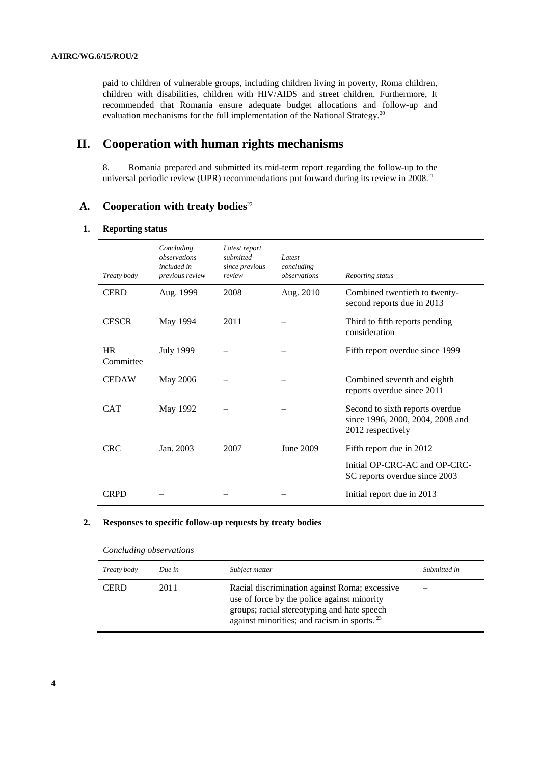paid to children of vulnerable groups, including children living in poverty, Roma children, children with disabilities, children with HIV/AIDS and street children. Furthermore, It recommended that Romania ensure adequate budget allocations and follow-up and evaluation mechanisms for the full implementation of the National Strategy.<sup>20</sup>

## **II. Cooperation with human rights mechanisms**

8. Romania prepared and submitted its mid-term report regarding the follow-up to the universal periodic review (UPR) recommendations put forward during its review in  $2008$ <sup>21</sup>

## **A.** Cooperation with treaty bodies<sup>22</sup>

#### **1. Reporting status**

| Treaty body            | Concluding<br>observations<br>included in<br>previous review | Latest report<br>submitted<br>since previous<br>review | Latest<br>concluding<br>observations | Reporting status                                                                         |
|------------------------|--------------------------------------------------------------|--------------------------------------------------------|--------------------------------------|------------------------------------------------------------------------------------------|
| <b>CERD</b>            | Aug. 1999                                                    | 2008                                                   | Aug. 2010                            | Combined twentieth to twenty-<br>second reports due in 2013                              |
| <b>CESCR</b>           | May 1994                                                     | 2011                                                   |                                      | Third to fifth reports pending<br>consideration                                          |
| <b>HR</b><br>Committee | July 1999                                                    |                                                        |                                      | Fifth report overdue since 1999                                                          |
| <b>CEDAW</b>           | May 2006                                                     |                                                        |                                      | Combined seventh and eighth<br>reports overdue since 2011                                |
| <b>CAT</b>             | May 1992                                                     |                                                        |                                      | Second to sixth reports overdue<br>since 1996, 2000, 2004, 2008 and<br>2012 respectively |
| <b>CRC</b>             | Jan. 2003                                                    | 2007                                                   | June 2009                            | Fifth report due in 2012                                                                 |
|                        |                                                              |                                                        |                                      | Initial OP-CRC-AC and OP-CRC-<br>SC reports overdue since 2003                           |
| <b>CRPD</b>            |                                                              |                                                        |                                      | Initial report due in 2013                                                               |

#### **2. Responses to specific follow-up requests by treaty bodies**

| Treaty body | Due in | Subject matter                                                                                                                                                                                | Submitted in |
|-------------|--------|-----------------------------------------------------------------------------------------------------------------------------------------------------------------------------------------------|--------------|
| <b>CERD</b> | 2011   | Racial discrimination against Roma; excessive<br>use of force by the police against minority<br>groups; racial stereotyping and hate speech<br>against minorities; and racism in sports. $23$ |              |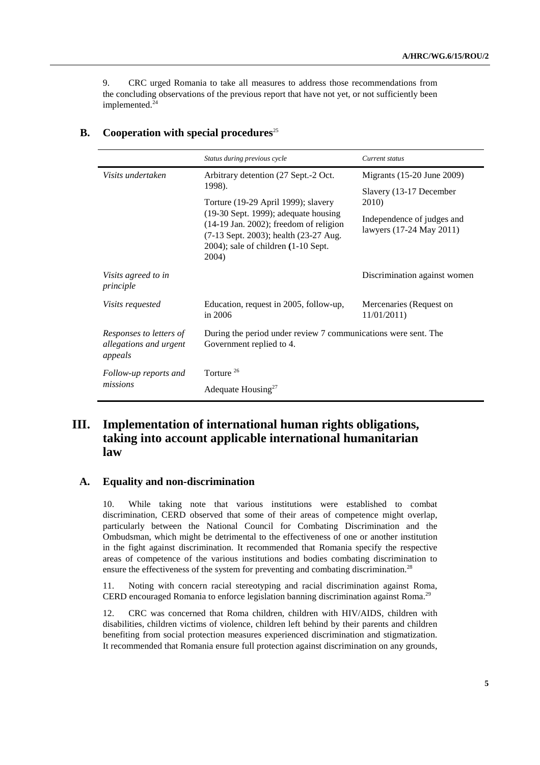9. CRC urged Romania to take all measures to address those recommendations from the concluding observations of the previous report that have not yet, or not sufficiently been implemented.<sup>24</sup>

|                                                              | Status during previous cycle                                                                                                                                                   | Current status                                         |
|--------------------------------------------------------------|--------------------------------------------------------------------------------------------------------------------------------------------------------------------------------|--------------------------------------------------------|
| Visits undertaken                                            | Arbitrary detention (27 Sept.-2 Oct.<br>1998).<br>Torture (19-29 April 1999); slavery                                                                                          | Migrants (15-20 June 2009)                             |
|                                                              |                                                                                                                                                                                | Slavery (13-17 December<br>2010)                       |
|                                                              | (19-30 Sept. 1999); adequate housing<br>$(14-19)$ Jan. 2002); freedom of religion<br>(7-13 Sept. 2003); health (23-27 Aug.<br>$2004$ ; sale of children $(1-10$ Sept.<br>2004) | Independence of judges and<br>lawyers (17-24 May 2011) |
| Visits agreed to in<br>principle                             |                                                                                                                                                                                | Discrimination against women                           |
| Visits requested                                             | Education, request in 2005, follow-up,<br>in 2006                                                                                                                              | Mercenaries (Request on<br>11/01/2011                  |
| Responses to letters of<br>allegations and urgent<br>appeals | During the period under review 7 communications were sent. The<br>Government replied to 4.                                                                                     |                                                        |
| Follow-up reports and<br>missions                            | Torture <sup>26</sup>                                                                                                                                                          |                                                        |
|                                                              | Adequate Housing <sup>27</sup>                                                                                                                                                 |                                                        |

## **B.** Cooperation with special procedures<sup>25</sup>

## **III. Implementation of international human rights obligations, taking into account applicable international humanitarian law**

## **A. Equality and non-discrimination**

10. While taking note that various institutions were established to combat discrimination, CERD observed that some of their areas of competence might overlap, particularly between the National Council for Combating Discrimination and the Ombudsman, which might be detrimental to the effectiveness of one or another institution in the fight against discrimination. It recommended that Romania specify the respective areas of competence of the various institutions and bodies combating discrimination to ensure the effectiveness of the system for preventing and combating discrimination.<sup>28</sup>

11. Noting with concern racial stereotyping and racial discrimination against Roma, CERD encouraged Romania to enforce legislation banning discrimination against Roma.<sup>29</sup>

12. CRC was concerned that Roma children, children with HIV/AIDS, children with disabilities, children victims of violence, children left behind by their parents and children benefiting from social protection measures experienced discrimination and stigmatization. It recommended that Romania ensure full protection against discrimination on any grounds,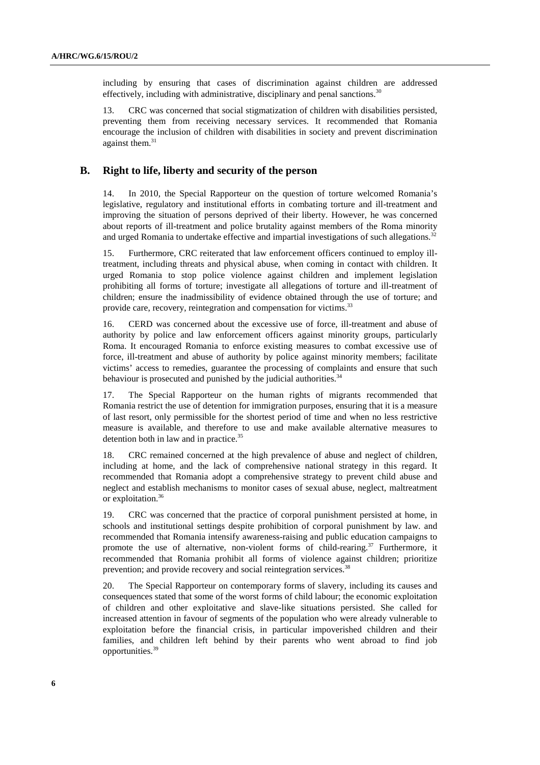including by ensuring that cases of discrimination against children are addressed effectively, including with administrative, disciplinary and penal sanctions.<sup>30</sup>

13. CRC was concerned that social stigmatization of children with disabilities persisted, preventing them from receiving necessary services. It recommended that Romania encourage the inclusion of children with disabilities in society and prevent discrimination against them. $31$ 

#### **B. Right to life, liberty and security of the person**

14. In 2010, the Special Rapporteur on the question of torture welcomed Romania's legislative, regulatory and institutional efforts in combating torture and ill-treatment and improving the situation of persons deprived of their liberty. However, he was concerned about reports of ill-treatment and police brutality against members of the Roma minority and urged Romania to undertake effective and impartial investigations of such allegations.<sup>32</sup>

15. Furthermore, CRC reiterated that law enforcement officers continued to employ illtreatment, including threats and physical abuse, when coming in contact with children. It urged Romania to stop police violence against children and implement legislation prohibiting all forms of torture; investigate all allegations of torture and ill-treatment of children; ensure the inadmissibility of evidence obtained through the use of torture; and provide care, recovery, reintegration and compensation for victims.<sup>33</sup>

16. CERD was concerned about the excessive use of force, ill-treatment and abuse of authority by police and law enforcement officers against minority groups, particularly Roma. It encouraged Romania to enforce existing measures to combat excessive use of force, ill-treatment and abuse of authority by police against minority members; facilitate victims' access to remedies, guarantee the processing of complaints and ensure that such behaviour is prosecuted and punished by the judicial authorities.<sup>34</sup>

17. The Special Rapporteur on the human rights of migrants recommended that Romania restrict the use of detention for immigration purposes, ensuring that it is a measure of last resort, only permissible for the shortest period of time and when no less restrictive measure is available, and therefore to use and make available alternative measures to detention both in law and in practice.<sup>35</sup>

18. CRC remained concerned at the high prevalence of abuse and neglect of children, including at home, and the lack of comprehensive national strategy in this regard. It recommended that Romania adopt a comprehensive strategy to prevent child abuse and neglect and establish mechanisms to monitor cases of sexual abuse, neglect, maltreatment or exploitation.<sup>36</sup>

19. CRC was concerned that the practice of corporal punishment persisted at home, in schools and institutional settings despite prohibition of corporal punishment by law. and recommended that Romania intensify awareness-raising and public education campaigns to promote the use of alternative, non-violent forms of child-rearing.<sup>37</sup> Furthermore, it recommended that Romania prohibit all forms of violence against children; prioritize prevention; and provide recovery and social reintegration services.<sup>38</sup>

20. The Special Rapporteur on contemporary forms of slavery, including its causes and consequences stated that some of the worst forms of child labour; the economic exploitation of children and other exploitative and slave-like situations persisted. She called for increased attention in favour of segments of the population who were already vulnerable to exploitation before the financial crisis, in particular impoverished children and their families, and children left behind by their parents who went abroad to find job opportunities.39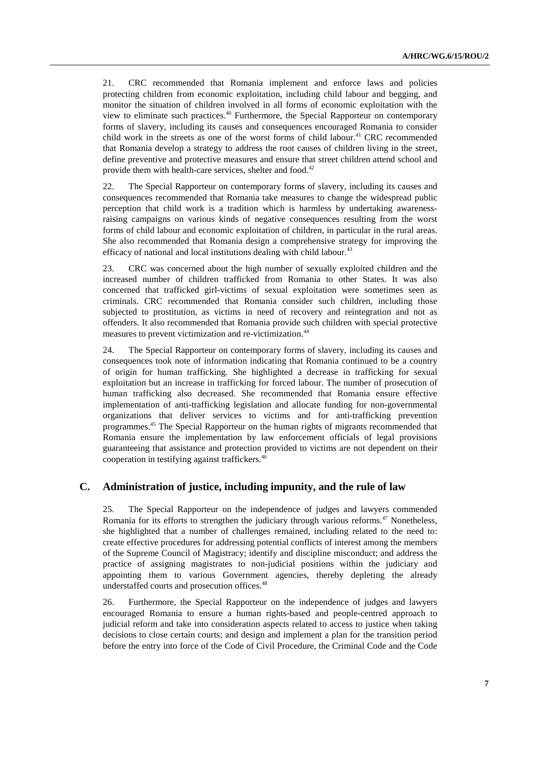21. CRC recommended that Romania implement and enforce laws and policies protecting children from economic exploitation, including child labour and begging, and monitor the situation of children involved in all forms of economic exploitation with the view to eliminate such practices.<sup>40</sup> Furthermore, the Special Rapporteur on contemporary forms of slavery, including its causes and consequences encouraged Romania to consider child work in the streets as one of the worst forms of child labour.<sup>41</sup> CRC recommended that Romania develop a strategy to address the root causes of children living in the street, define preventive and protective measures and ensure that street children attend school and provide them with health-care services, shelter and food. $42$ 

22. The Special Rapporteur on contemporary forms of slavery, including its causes and consequences recommended that Romania take measures to change the widespread public perception that child work is a tradition which is harmless by undertaking awarenessraising campaigns on various kinds of negative consequences resulting from the worst forms of child labour and economic exploitation of children, in particular in the rural areas. She also recommended that Romania design a comprehensive strategy for improving the efficacy of national and local institutions dealing with child labour. $43$ 

23. CRC was concerned about the high number of sexually exploited children and the increased number of children trafficked from Romania to other States. It was also concerned that trafficked girl-victims of sexual exploitation were sometimes seen as criminals. CRC recommended that Romania consider such children, including those subjected to prostitution, as victims in need of recovery and reintegration and not as offenders. It also recommended that Romania provide such children with special protective measures to prevent victimization and re-victimization.<sup>44</sup>

24. The Special Rapporteur on contemporary forms of slavery, including its causes and consequences took note of information indicating that Romania continued to be a country of origin for human trafficking. She highlighted a decrease in trafficking for sexual exploitation but an increase in trafficking for forced labour. The number of prosecution of human trafficking also decreased. She recommended that Romania ensure effective implementation of anti-trafficking legislation and allocate funding for non-governmental organizations that deliver services to victims and for anti-trafficking prevention programmes.<sup>45</sup> The Special Rapporteur on the human rights of migrants recommended that Romania ensure the implementation by law enforcement officials of legal provisions guaranteeing that assistance and protection provided to victims are not dependent on their cooperation in testifying against traffickers.<sup>46</sup>

#### **C. Administration of justice, including impunity, and the rule of law**

25. The Special Rapporteur on the independence of judges and lawyers commended Romania for its efforts to strengthen the judiciary through various reforms.<sup>47</sup> Nonetheless, she highlighted that a number of challenges remained, including related to the need to: create effective procedures for addressing potential conflicts of interest among the members of the Supreme Council of Magistracy; identify and discipline misconduct; and address the practice of assigning magistrates to non-judicial positions within the judiciary and appointing them to various Government agencies, thereby depleting the already understaffed courts and prosecution offices.<sup>48</sup>

26. Furthermore, the Special Rapporteur on the independence of judges and lawyers encouraged Romania to ensure a human rights-based and people-centred approach to judicial reform and take into consideration aspects related to access to justice when taking decisions to close certain courts; and design and implement a plan for the transition period before the entry into force of the Code of Civil Procedure, the Criminal Code and the Code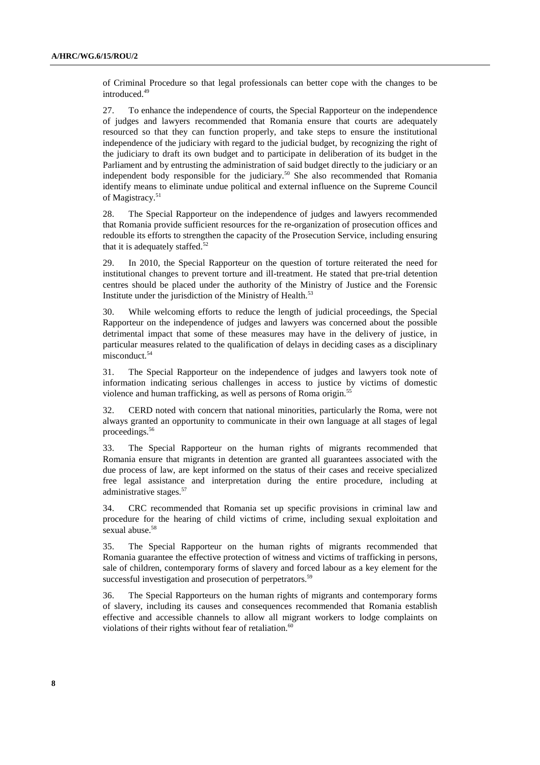of Criminal Procedure so that legal professionals can better cope with the changes to be introduced.<sup>49</sup>

27. To enhance the independence of courts, the Special Rapporteur on the independence of judges and lawyers recommended that Romania ensure that courts are adequately resourced so that they can function properly, and take steps to ensure the institutional independence of the judiciary with regard to the judicial budget, by recognizing the right of the judiciary to draft its own budget and to participate in deliberation of its budget in the Parliament and by entrusting the administration of said budget directly to the judiciary or an independent body responsible for the judiciary.<sup>50</sup> She also recommended that Romania identify means to eliminate undue political and external influence on the Supreme Council of Magistracy.<sup>51</sup>

28. The Special Rapporteur on the independence of judges and lawyers recommended that Romania provide sufficient resources for the re-organization of prosecution offices and redouble its efforts to strengthen the capacity of the Prosecution Service, including ensuring that it is adequately staffed. $52$ 

29. In 2010, the Special Rapporteur on the question of torture reiterated the need for institutional changes to prevent torture and ill-treatment. He stated that pre-trial detention centres should be placed under the authority of the Ministry of Justice and the Forensic Institute under the jurisdiction of the Ministry of Health. $53$ 

30. While welcoming efforts to reduce the length of judicial proceedings, the Special Rapporteur on the independence of judges and lawyers was concerned about the possible detrimental impact that some of these measures may have in the delivery of justice, in particular measures related to the qualification of delays in deciding cases as a disciplinary misconduct.<sup>54</sup>

31. The Special Rapporteur on the independence of judges and lawyers took note of information indicating serious challenges in access to justice by victims of domestic violence and human trafficking, as well as persons of Roma origin.<sup>55</sup>

32. CERD noted with concern that national minorities, particularly the Roma, were not always granted an opportunity to communicate in their own language at all stages of legal proceedings.<sup>56</sup>

33. The Special Rapporteur on the human rights of migrants recommended that Romania ensure that migrants in detention are granted all guarantees associated with the due process of law, are kept informed on the status of their cases and receive specialized free legal assistance and interpretation during the entire procedure, including at administrative stages.<sup>57</sup>

34. CRC recommended that Romania set up specific provisions in criminal law and procedure for the hearing of child victims of crime, including sexual exploitation and sexual abuse.<sup>58</sup>

35. The Special Rapporteur on the human rights of migrants recommended that Romania guarantee the effective protection of witness and victims of trafficking in persons, sale of children, contemporary forms of slavery and forced labour as a key element for the successful investigation and prosecution of perpetrators.<sup>59</sup>

36. The Special Rapporteurs on the human rights of migrants and contemporary forms of slavery, including its causes and consequences recommended that Romania establish effective and accessible channels to allow all migrant workers to lodge complaints on violations of their rights without fear of retaliation. $60$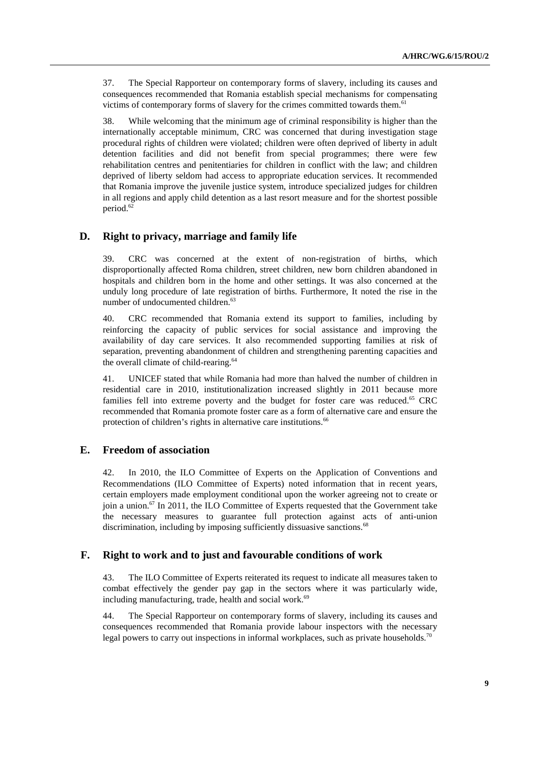37. The Special Rapporteur on contemporary forms of slavery, including its causes and consequences recommended that Romania establish special mechanisms for compensating victims of contemporary forms of slavery for the crimes committed towards them.<sup>61</sup>

38. While welcoming that the minimum age of criminal responsibility is higher than the internationally acceptable minimum, CRC was concerned that during investigation stage procedural rights of children were violated; children were often deprived of liberty in adult detention facilities and did not benefit from special programmes; there were few rehabilitation centres and penitentiaries for children in conflict with the law; and children deprived of liberty seldom had access to appropriate education services. It recommended that Romania improve the juvenile justice system, introduce specialized judges for children in all regions and apply child detention as a last resort measure and for the shortest possible period.<sup>62</sup>

## **D. Right to privacy, marriage and family life**

39. CRC was concerned at the extent of non-registration of births, which disproportionally affected Roma children, street children, new born children abandoned in hospitals and children born in the home and other settings. It was also concerned at the unduly long procedure of late registration of births. Furthermore, It noted the rise in the number of undocumented children.<sup>63</sup>

40. CRC recommended that Romania extend its support to families, including by reinforcing the capacity of public services for social assistance and improving the availability of day care services. It also recommended supporting families at risk of separation, preventing abandonment of children and strengthening parenting capacities and the overall climate of child-rearing.<sup>64</sup>

41. UNICEF stated that while Romania had more than halved the number of children in residential care in 2010, institutionalization increased slightly in 2011 because more families fell into extreme poverty and the budget for foster care was reduced.<sup>65</sup> CRC recommended that Romania promote foster care as a form of alternative care and ensure the protection of children's rights in alternative care institutions.<sup>66</sup>

### **E. Freedom of association**

42. In 2010, the ILO Committee of Experts on the Application of Conventions and Recommendations (ILO Committee of Experts) noted information that in recent years, certain employers made employment conditional upon the worker agreeing not to create or join a union.<sup>67</sup> In 2011, the ILO Committee of Experts requested that the Government take the necessary measures to guarantee full protection against acts of anti-union discrimination, including by imposing sufficiently dissuasive sanctions.<sup>68</sup>

## **F. Right to work and to just and favourable conditions of work**

43. The ILO Committee of Experts reiterated its request to indicate all measures taken to combat effectively the gender pay gap in the sectors where it was particularly wide, including manufacturing, trade, health and social work.<sup>69</sup>

44. The Special Rapporteur on contemporary forms of slavery, including its causes and consequences recommended that Romania provide labour inspectors with the necessary legal powers to carry out inspections in informal workplaces, such as private households.<sup>70</sup>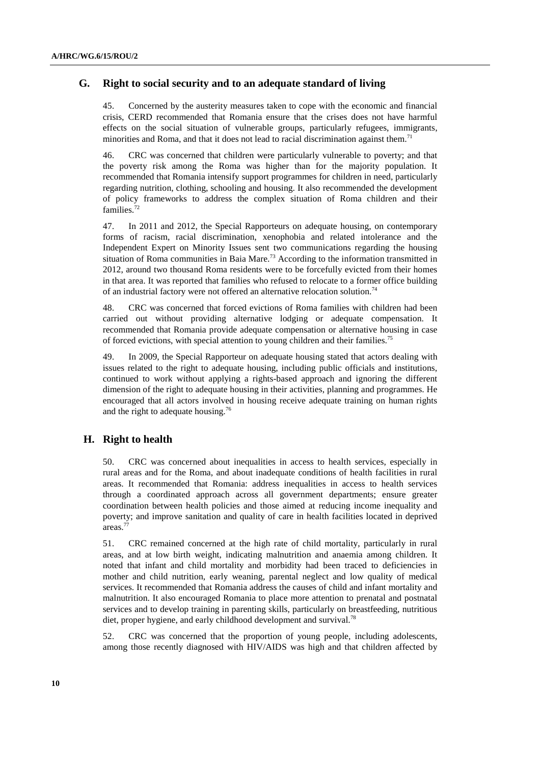## **G. Right to social security and to an adequate standard of living**

45. Concerned by the austerity measures taken to cope with the economic and financial crisis, CERD recommended that Romania ensure that the crises does not have harmful effects on the social situation of vulnerable groups, particularly refugees, immigrants, minorities and Roma, and that it does not lead to racial discrimination against them.<sup>71</sup>

46. CRC was concerned that children were particularly vulnerable to poverty; and that the poverty risk among the Roma was higher than for the majority population. It recommended that Romania intensify support programmes for children in need, particularly regarding nutrition, clothing, schooling and housing. It also recommended the development of policy frameworks to address the complex situation of Roma children and their families.<sup>72</sup>

47. In 2011 and 2012, the Special Rapporteurs on adequate housing, on contemporary forms of racism, racial discrimination, xenophobia and related intolerance and the Independent Expert on Minority Issues sent two communications regarding the housing situation of Roma communities in Baia Mare.<sup>73</sup> According to the information transmitted in 2012, around two thousand Roma residents were to be forcefully evicted from their homes in that area. It was reported that families who refused to relocate to a former office building of an industrial factory were not offered an alternative relocation solution.<sup>74</sup>

48. CRC was concerned that forced evictions of Roma families with children had been carried out without providing alternative lodging or adequate compensation. It recommended that Romania provide adequate compensation or alternative housing in case of forced evictions, with special attention to young children and their families.<sup>75</sup>

49. In 2009, the Special Rapporteur on adequate housing stated that actors dealing with issues related to the right to adequate housing, including public officials and institutions, continued to work without applying a rights-based approach and ignoring the different dimension of the right to adequate housing in their activities, planning and programmes. He encouraged that all actors involved in housing receive adequate training on human rights and the right to adequate housing.<sup>76</sup>

## **H. Right to health**

50. CRC was concerned about inequalities in access to health services, especially in rural areas and for the Roma, and about inadequate conditions of health facilities in rural areas. It recommended that Romania: address inequalities in access to health services through a coordinated approach across all government departments; ensure greater coordination between health policies and those aimed at reducing income inequality and poverty; and improve sanitation and quality of care in health facilities located in deprived areas.<sup>77</sup>

51. CRC remained concerned at the high rate of child mortality, particularly in rural areas, and at low birth weight, indicating malnutrition and anaemia among children. It noted that infant and child mortality and morbidity had been traced to deficiencies in mother and child nutrition, early weaning, parental neglect and low quality of medical services. It recommended that Romania address the causes of child and infant mortality and malnutrition. It also encouraged Romania to place more attention to prenatal and postnatal services and to develop training in parenting skills, particularly on breastfeeding, nutritious diet, proper hygiene, and early childhood development and survival.<sup>78</sup>

52. CRC was concerned that the proportion of young people, including adolescents, among those recently diagnosed with HIV/AIDS was high and that children affected by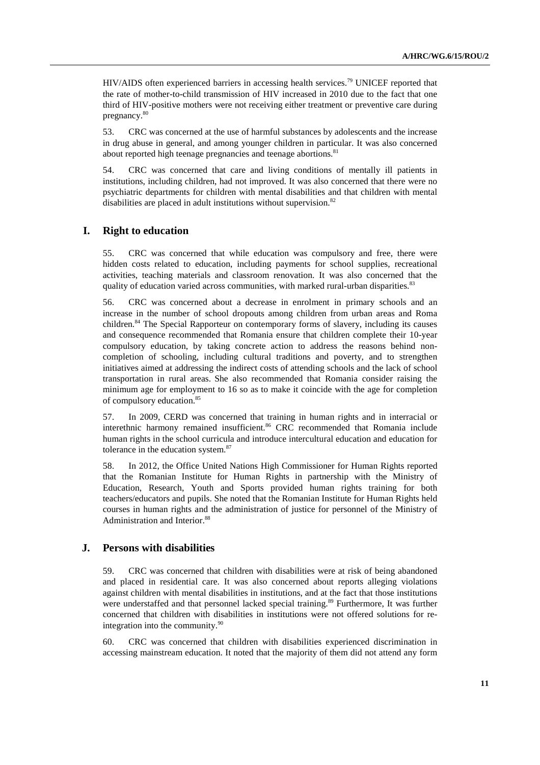HIV/AIDS often experienced barriers in accessing health services.<sup>79</sup> UNICEF reported that the rate of mother-to-child transmission of HIV increased in 2010 due to the fact that one third of HIV-positive mothers were not receiving either treatment or preventive care during pregnancy.<sup>80</sup>

53. CRC was concerned at the use of harmful substances by adolescents and the increase in drug abuse in general, and among younger children in particular. It was also concerned about reported high teenage pregnancies and teenage abortions.<sup>81</sup>

54. CRC was concerned that care and living conditions of mentally ill patients in institutions, including children, had not improved. It was also concerned that there were no psychiatric departments for children with mental disabilities and that children with mental disabilities are placed in adult institutions without supervision.<sup>82</sup>

#### **I. Right to education**

55. CRC was concerned that while education was compulsory and free, there were hidden costs related to education, including payments for school supplies, recreational activities, teaching materials and classroom renovation. It was also concerned that the quality of education varied across communities, with marked rural-urban disparities.<sup>83</sup>

56. CRC was concerned about a decrease in enrolment in primary schools and an increase in the number of school dropouts among children from urban areas and Roma children.<sup>84</sup> The Special Rapporteur on contemporary forms of slavery, including its causes and consequence recommended that Romania ensure that children complete their 10-year compulsory education, by taking concrete action to address the reasons behind noncompletion of schooling, including cultural traditions and poverty, and to strengthen initiatives aimed at addressing the indirect costs of attending schools and the lack of school transportation in rural areas. She also recommended that Romania consider raising the minimum age for employment to 16 so as to make it coincide with the age for completion of compulsory education.<sup>85</sup>

57. In 2009, CERD was concerned that training in human rights and in interracial or interethnic harmony remained insufficient.<sup>86</sup> CRC recommended that Romania include human rights in the school curricula and introduce intercultural education and education for tolerance in the education system.<sup>87</sup>

58. In 2012, the Office United Nations High Commissioner for Human Rights reported that the Romanian Institute for Human Rights in partnership with the Ministry of Education, Research, Youth and Sports provided human rights training for both teachers/educators and pupils. She noted that the Romanian Institute for Human Rights held courses in human rights and the administration of justice for personnel of the Ministry of Administration and Interior.<sup>88</sup>

#### **J. Persons with disabilities**

59. CRC was concerned that children with disabilities were at risk of being abandoned and placed in residential care. It was also concerned about reports alleging violations against children with mental disabilities in institutions, and at the fact that those institutions were understaffed and that personnel lacked special training.<sup>89</sup> Furthermore, It was further concerned that children with disabilities in institutions were not offered solutions for reintegration into the community.<sup>90</sup>

60. CRC was concerned that children with disabilities experienced discrimination in accessing mainstream education. It noted that the majority of them did not attend any form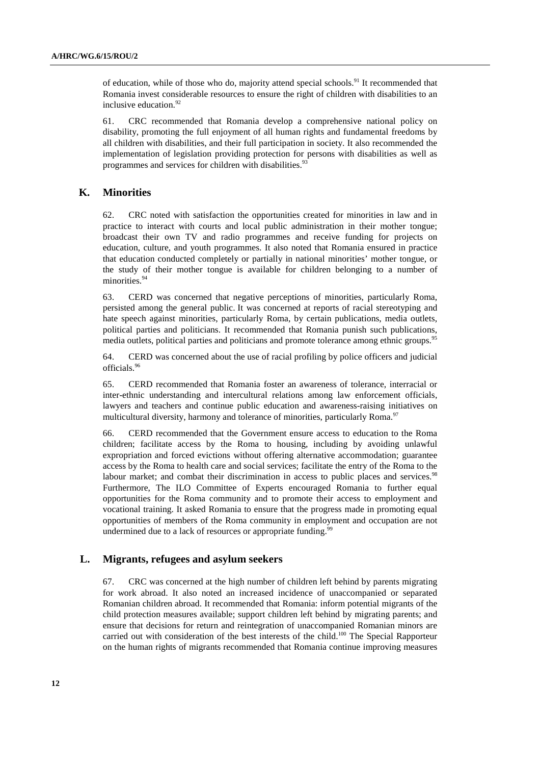of education, while of those who do, majority attend special schools.<sup>91</sup> It recommended that Romania invest considerable resources to ensure the right of children with disabilities to an inclusive education.<sup>92</sup>

61. CRC recommended that Romania develop a comprehensive national policy on disability, promoting the full enjoyment of all human rights and fundamental freedoms by all children with disabilities, and their full participation in society. It also recommended the implementation of legislation providing protection for persons with disabilities as well as programmes and services for children with disabilities.<sup>93</sup>

### **K. Minorities**

62. CRC noted with satisfaction the opportunities created for minorities in law and in practice to interact with courts and local public administration in their mother tongue; broadcast their own TV and radio programmes and receive funding for projects on education, culture, and youth programmes. It also noted that Romania ensured in practice that education conducted completely or partially in national minorities' mother tongue, or the study of their mother tongue is available for children belonging to a number of minorities.<sup>94</sup>

63. CERD was concerned that negative perceptions of minorities, particularly Roma, persisted among the general public. It was concerned at reports of racial stereotyping and hate speech against minorities, particularly Roma, by certain publications, media outlets, political parties and politicians. It recommended that Romania punish such publications, media outlets, political parties and politicians and promote tolerance among ethnic groups.<sup>95</sup>

64. CERD was concerned about the use of racial profiling by police officers and judicial officials.<sup>96</sup>

65. CERD recommended that Romania foster an awareness of tolerance, interracial or inter-ethnic understanding and intercultural relations among law enforcement officials, lawyers and teachers and continue public education and awareness-raising initiatives on multicultural diversity, harmony and tolerance of minorities, particularly Roma.<sup>97</sup>

66. CERD recommended that the Government ensure access to education to the Roma children; facilitate access by the Roma to housing, including by avoiding unlawful expropriation and forced evictions without offering alternative accommodation; guarantee access by the Roma to health care and social services; facilitate the entry of the Roma to the labour market; and combat their discrimination in access to public places and services.<sup>98</sup> Furthermore, The ILO Committee of Experts encouraged Romania to further equal opportunities for the Roma community and to promote their access to employment and vocational training. It asked Romania to ensure that the progress made in promoting equal opportunities of members of the Roma community in employment and occupation are not undermined due to a lack of resources or appropriate funding.<sup>99</sup>

#### **L. Migrants, refugees and asylum seekers**

67. CRC was concerned at the high number of children left behind by parents migrating for work abroad. It also noted an increased incidence of unaccompanied or separated Romanian children abroad. It recommended that Romania: inform potential migrants of the child protection measures available; support children left behind by migrating parents; and ensure that decisions for return and reintegration of unaccompanied Romanian minors are carried out with consideration of the best interests of the child.<sup>100</sup> The Special Rapporteur on the human rights of migrants recommended that Romania continue improving measures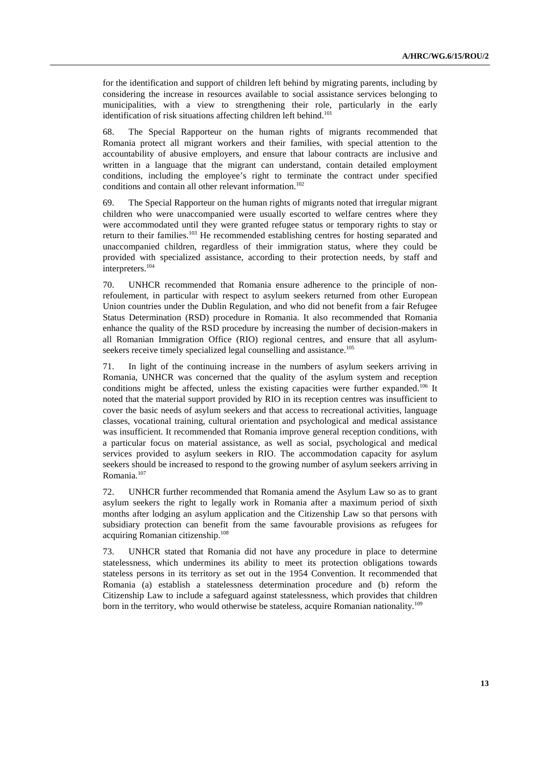for the identification and support of children left behind by migrating parents, including by considering the increase in resources available to social assistance services belonging to municipalities, with a view to strengthening their role, particularly in the early identification of risk situations affecting children left behind.<sup>101</sup>

68. The Special Rapporteur on the human rights of migrants recommended that Romania protect all migrant workers and their families, with special attention to the accountability of abusive employers, and ensure that labour contracts are inclusive and written in a language that the migrant can understand, contain detailed employment conditions, including the employee's right to terminate the contract under specified conditions and contain all other relevant information.<sup>102</sup>

69. The Special Rapporteur on the human rights of migrants noted that irregular migrant children who were unaccompanied were usually escorted to welfare centres where they were accommodated until they were granted refugee status or temporary rights to stay or return to their families.<sup>103</sup> He recommended establishing centres for hosting separated and unaccompanied children, regardless of their immigration status, where they could be provided with specialized assistance, according to their protection needs, by staff and interpreters.<sup>104</sup>

70. UNHCR recommended that Romania ensure adherence to the principle of nonrefoulement, in particular with respect to asylum seekers returned from other European Union countries under the Dublin Regulation, and who did not benefit from a fair Refugee Status Determination (RSD) procedure in Romania. It also recommended that Romania enhance the quality of the RSD procedure by increasing the number of decision-makers in all Romanian Immigration Office (RIO) regional centres, and ensure that all asylumseekers receive timely specialized legal counselling and assistance.<sup>105</sup>

71. In light of the continuing increase in the numbers of asylum seekers arriving in Romania, UNHCR was concerned that the quality of the asylum system and reception conditions might be affected, unless the existing capacities were further expanded.<sup>106</sup> It noted that the material support provided by RIO in its reception centres was insufficient to cover the basic needs of asylum seekers and that access to recreational activities, language classes, vocational training, cultural orientation and psychological and medical assistance was insufficient. It recommended that Romania improve general reception conditions, with a particular focus on material assistance, as well as social, psychological and medical services provided to asylum seekers in RIO. The accommodation capacity for asylum seekers should be increased to respond to the growing number of asylum seekers arriving in Romania.<sup>107</sup>

72. UNHCR further recommended that Romania amend the Asylum Law so as to grant asylum seekers the right to legally work in Romania after a maximum period of sixth months after lodging an asylum application and the Citizenship Law so that persons with subsidiary protection can benefit from the same favourable provisions as refugees for acquiring Romanian citizenship.<sup>108</sup>

73. UNHCR stated that Romania did not have any procedure in place to determine statelessness, which undermines its ability to meet its protection obligations towards stateless persons in its territory as set out in the 1954 Convention. It recommended that Romania (a) establish a statelessness determination procedure and (b) reform the Citizenship Law to include a safeguard against statelessness, which provides that children born in the territory, who would otherwise be stateless, acquire Romanian nationality.<sup>109</sup>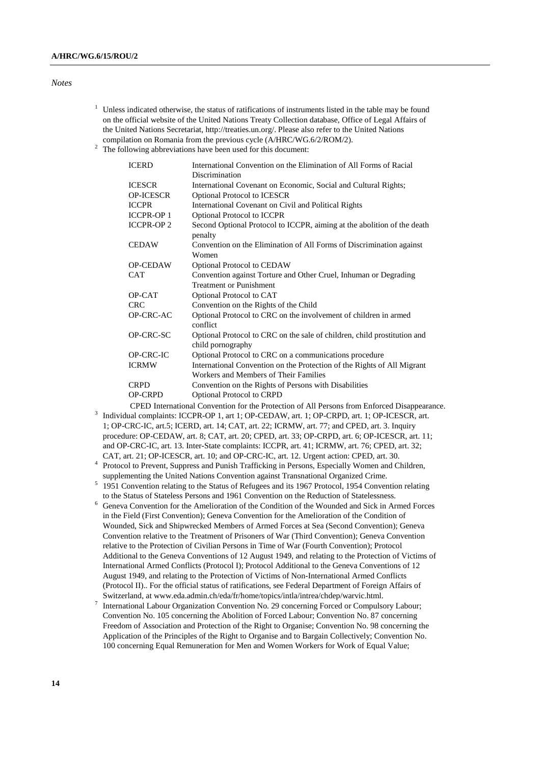#### *Notes*

- <sup>1</sup> Unless indicated otherwise, the status of ratifications of instruments listed in the table may be found on the official website of the United Nations Treaty Collection database, Office of Legal Affairs of the United Nations Secretariat, http://treaties.un.org/. Please also refer to the United Nations compilation on Romania from the previous cycle (A/HRC/WG.6/2/ROM/2).
- $2$  The following abbreviations have been used for this document:

| <b>ICERD</b>                                                                                 | International Convention on the Elimination of All Forms of Racial                            |  |
|----------------------------------------------------------------------------------------------|-----------------------------------------------------------------------------------------------|--|
|                                                                                              | Discrimination                                                                                |  |
| <b>ICESCR</b>                                                                                | International Covenant on Economic, Social and Cultural Rights;                               |  |
| <b>OP-ICESCR</b>                                                                             | <b>Optional Protocol to ICESCR</b>                                                            |  |
| <b>ICCPR</b>                                                                                 | International Covenant on Civil and Political Rights                                          |  |
| <b>ICCPR-OP1</b>                                                                             | <b>Optional Protocol to ICCPR</b>                                                             |  |
| <b>ICCPR-OP2</b>                                                                             | Second Optional Protocol to ICCPR, aiming at the abolition of the death<br>penalty            |  |
| <b>CEDAW</b>                                                                                 | Convention on the Elimination of All Forms of Discrimination against<br>Women                 |  |
| <b>OP-CEDAW</b>                                                                              | <b>Optional Protocol to CEDAW</b>                                                             |  |
| <b>CAT</b>                                                                                   | Convention against Torture and Other Cruel, Inhuman or Degrading                              |  |
|                                                                                              | <b>Treatment or Punishment</b>                                                                |  |
| OP-CAT                                                                                       | Optional Protocol to CAT                                                                      |  |
| <b>CRC</b>                                                                                   | Convention on the Rights of the Child                                                         |  |
| OP-CRC-AC                                                                                    | Optional Protocol to CRC on the involvement of children in armed<br>conflict                  |  |
| OP-CRC-SC                                                                                    | Optional Protocol to CRC on the sale of children, child prostitution and<br>child pornography |  |
| OP-CRC-IC                                                                                    | Optional Protocol to CRC on a communications procedure                                        |  |
| <b>ICRMW</b>                                                                                 | International Convention on the Protection of the Rights of All Migrant                       |  |
|                                                                                              | Workers and Members of Their Families                                                         |  |
| <b>CRPD</b>                                                                                  | Convention on the Rights of Persons with Disabilities                                         |  |
| <b>OP-CRPD</b>                                                                               | <b>Optional Protocol to CRPD</b>                                                              |  |
| CPED International Convention for the Protection of All Persons from Enforced Disappearance. |                                                                                               |  |

- 3 Individual complaints: ICCPR-OP 1, art 1; OP-CEDAW, art. 1; OP-CRPD, art. 1; OP-ICESCR, art. 1; OP-CRC-IC, art.5; ICERD, art. 14; CAT, art. 22; ICRMW, art. 77; and CPED, art. 3. Inquiry procedure: OP-CEDAW, art. 8; CAT, art. 20; CPED, art. 33; OP-CRPD, art. 6; OP-ICESCR, art. 11; and OP-CRC-IC, art. 13. Inter-State complaints: ICCPR, art. 41; ICRMW, art. 76; CPED, art. 32; CAT, art. 21; OP-ICESCR, art. 10; and OP-CRC-IC, art. 12. Urgent action: CPED, art. 30.
- <sup>4</sup> Protocol to Prevent, Suppress and Punish Trafficking in Persons, Especially Women and Children, supplementing the United Nations Convention against Transnational Organized Crime.
- <sup>5</sup> 1951 Convention relating to the Status of Refugees and its 1967 Protocol, 1954 Convention relating to the Status of Stateless Persons and 1961 Convention on the Reduction of Statelessness.
- <sup>6</sup> Geneva Convention for the Amelioration of the Condition of the Wounded and Sick in Armed Forces in the Field (First Convention); Geneva Convention for the Amelioration of the Condition of Wounded, Sick and Shipwrecked Members of Armed Forces at Sea (Second Convention); Geneva Convention relative to the Treatment of Prisoners of War (Third Convention); Geneva Convention relative to the Protection of Civilian Persons in Time of War (Fourth Convention); Protocol Additional to the Geneva Conventions of 12 August 1949, and relating to the Protection of Victims of International Armed Conflicts (Protocol I); Protocol Additional to the Geneva Conventions of 12 August 1949, and relating to the Protection of Victims of Non-International Armed Conflicts (Protocol II).. For the official status of ratifications, see Federal Department of Foreign Affairs of Switzerland, at www.eda.admin.ch/eda/fr/home/topics/intla/intrea/chdep/warvic.html.
- 7 International Labour Organization Convention No. 29 concerning Forced or Compulsory Labour; Convention No. 105 concerning the Abolition of Forced Labour; Convention No. 87 concerning Freedom of Association and Protection of the Right to Organise; Convention No. 98 concerning the Application of the Principles of the Right to Organise and to Bargain Collectively; Convention No. 100 concerning Equal Remuneration for Men and Women Workers for Work of Equal Value;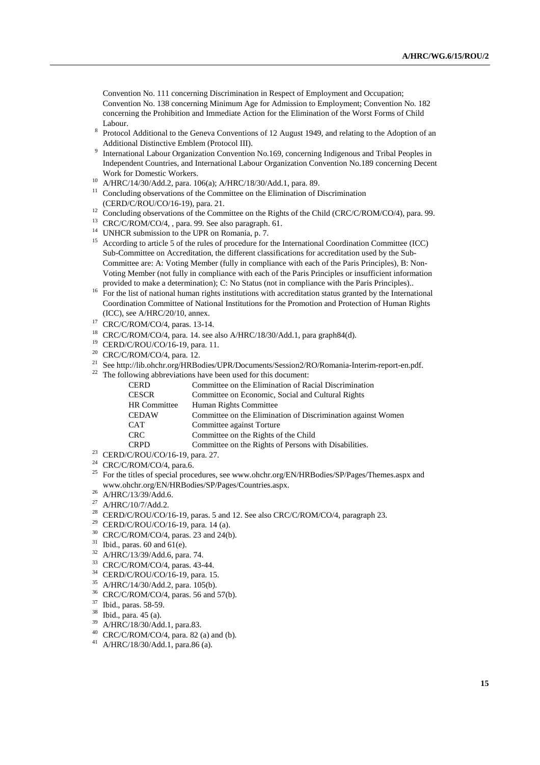Convention No. 111 concerning Discrimination in Respect of Employment and Occupation; Convention No. 138 concerning Minimum Age for Admission to Employment; Convention No. 182 concerning the Prohibition and Immediate Action for the Elimination of the Worst Forms of Child Labour.

- 8 Protocol Additional to the Geneva Conventions of 12 August 1949, and relating to the Adoption of an Additional Distinctive Emblem (Protocol III).
- <sup>9</sup> International Labour Organization Convention No.169, concerning Indigenous and Tribal Peoples in Independent Countries, and International Labour Organization Convention No.189 concerning Decent Work for Domestic Workers.
- <sup>10</sup> A/HRC/14/30/Add.2, para. 106(a); A/HRC/18/30/Add.1, para. 89.
- <sup>11</sup> Concluding observations of the Committee on the Elimination of Discrimination (CERD/C/ROU/CO/16-19), para. 21.
- <sup>12</sup> Concluding observations of the Committee on the Rights of the Child (CRC/C/ROM/CO/4), para. 99.
- <sup>13</sup> CRC/C/ROM/CO/4, , para. 99. See also paragraph. 61.
- <sup>14</sup> UNHCR submission to the UPR on Romania, p. 7.
- <sup>15</sup> According to article 5 of the rules of procedure for the International Coordination Committee (ICC) Sub-Committee on Accreditation, the different classifications for accreditation used by the Sub-Committee are: A: Voting Member (fully in compliance with each of the Paris Principles), B: Non-Voting Member (not fully in compliance with each of the Paris Principles or insufficient information provided to make a determination); C: No Status (not in compliance with the Paris Principles)..
- <sup>16</sup> For the list of national human rights institutions with accreditation status granted by the International Coordination Committee of National Institutions for the Promotion and Protection of Human Rights (ICC), see A/HRC/20/10, annex.
- <sup>17</sup> CRC/C/ROM/CO/4, paras. 13-14.
- <sup>18</sup> CRC/C/ROM/CO/4, para. 14. see also A/HRC/18/30/Add.1, para graph84(d).
- <sup>19</sup> CERD/C/ROU/CO/16-19, para. 11.
- <sup>20</sup> CRC/C/ROM/CO/4, para. 12.
- <sup>21</sup> See http://lib.ohchr.org/HRBodies/UPR/Documents/Session2/RO/Romania-Interim-report-en.pdf.
- $22$  The following abbreviations have been used for this document:

| <b>CERD</b>  | Committee on the Elimination of Racial Discrimination        |
|--------------|--------------------------------------------------------------|
| <b>CESCR</b> | Committee on Economic, Social and Cultural Rights            |
| HR Committee | Human Rights Committee                                       |
| <b>CEDAW</b> | Committee on the Elimination of Discrimination against Women |
| <b>CAT</b>   | Committee against Torture                                    |
| <b>CRC</b>   | Committee on the Rights of the Child                         |
| <b>CRPD</b>  | Committee on the Rights of Persons with Disabilities.        |
|              |                                                              |

- <sup>23</sup> CERD/C/ROU/CO/16-19, para. 27.
- <sup>24</sup> CRC/C/ROM/CO/4, para.6.
- <sup>25</sup> For the titles of special procedures, see www.ohchr.org/EN/HRBodies/SP/Pages/Themes.aspx and www.ohchr.org/EN/HRBodies/SP/Pages/Countries.aspx.
- <sup>26</sup> A/HRC/13/39/Add.6.
- <sup>27</sup> A/HRC/10/7/Add.2.
- <sup>28</sup> CERD/C/ROU/CO/16-19, paras. 5 and 12. See also CRC/C/ROM/CO/4, paragraph 23.
- <sup>29</sup> CERD/C/ROU/CO/16-19, para. 14 (a).
- <sup>30</sup> CRC/C/ROM/CO/4, paras. 23 and 24(b).
- $31$  Ibid., paras. 60 and 61(e).
- <sup>32</sup> A/HRC/13/39/Add.6, para. 74.
- <sup>33</sup> CRC/C/ROM/CO/4, paras. 43-44.
- <sup>34</sup> CERD/C/ROU/CO/16-19, para. 15.
- <sup>35</sup> A/HRC/14/30/Add.2, para. 105(b).
- <sup>36</sup> CRC/C/ROM/CO/4, paras. 56 and 57(b).
- <sup>37</sup> Ibid., paras. 58-59.
- $^{38}$  Ibid., para. 45 (a).
- <sup>39</sup> A/HRC/18/30/Add.1, para.83.
- $40$  CRC/C/ROM/CO/4, para. 82 (a) and (b).
- <sup>41</sup> A/HRC/18/30/Add.1, para.86 (a).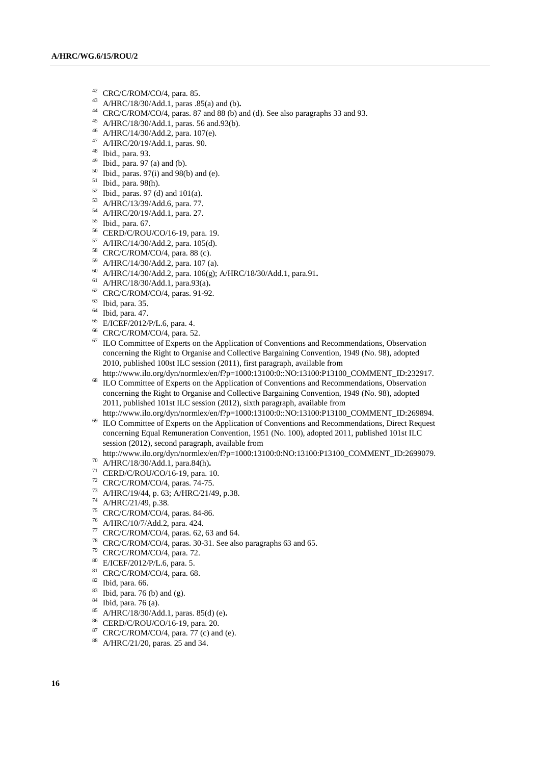- $^{42}$  CRC/C/ROM/CO/4, para. 85.
- A/HRC/18/30/Add.1, paras .85(a) and (b)**.**
- CRC/C/ROM/CO/4, paras. 87 and 88 (b) and (d). See also paragraphs 33 and 93.
- A/HRC/18/30/Add.1, paras. 56 and.93(b).
- A/HRC/14/30/Add.2, para. 107(e).
- A/HRC/20/19/Add.1, paras. 90.
- Ibid., para. 93.
- Ibid., para. 97 (a) and (b).
- Ibid., paras. 97(i) and 98(b) and (e).
- Ibid., para. 98(h).
- Ibid., paras. 97 (d) and 101(a).
- A/HRC/13/39/Add.6, para. 77.
- A/HRC/20/19/Add.1, para. 27.
- Ibid., para. 67.
- CERD/C/ROU/CO/16-19, para. 19.
- A/HRC/14/30/Add.2, para. 105(d).
- CRC/C/ROM/CO/4, para. 88 (c).
- A/HRC/14/30/Add.2, para. 107 (a).
- A/HRC/14/30/Add.2, para. 106(g); A/HRC/18/30/Add.1, para.91**.**
- A/HRC/18/30/Add.1, para.93(a)**.**
- CRC/C/ROM/CO/4, paras. 91-92.
- Ibid, para. 35.
- Ibid, para. 47.
- E/ICEF/2012/P/L.6, para. 4.
- CRC/C/ROM/CO/4, para. 52.
- <sup>67</sup> ILO Committee of Experts on the Application of Conventions and Recommendations, Observation concerning the Right to Organise and Collective Bargaining Convention, 1949 (No. 98), adopted 2010, published 100st ILC session (2011), first paragraph, available from
- http://www.ilo.org/dyn/normlex/en/f?p=1000:13100:0::NO:13100:P13100\_COMMENT\_ID:232917. ILO Committee of Experts on the Application of Conventions and Recommendations, Observation concerning the Right to Organise and Collective Bargaining Convention, 1949 (No. 98), adopted 2011, published 101st ILC session (2012), sixth paragraph, available from
- http://www.ilo.org/dyn/normlex/en/f?p=1000:13100:0::NO:13100:P13100\_COMMENT\_ID:269894. <sup>69</sup> ILO Committee of Experts on the Application of Conventions and Recommendations, Direct Request concerning Equal Remuneration Convention, 1951 (No. 100), adopted 2011, published 101st ILC session (2012), second paragraph, available from

http://www.ilo.org/dyn/normlex/en/f?p=1000:13100:0:NO:13100:P13100\_COMMENT\_ID:2699079.

- A/HRC/18/30/Add.1, para.84(h)**.**
- CERD/C/ROU/CO/16-19, para. 10.
- CRC/C/ROM/CO/4, paras. 74-75.
- A/HRC/19/44, p. 63; A/HRC/21/49, p.38.
- A/HRC/21/49, p.38.
- CRC/C/ROM/CO/4, paras. 84-86.
- A/HRC/10/7/Add.2, para. 424.
- CRC/C/ROM/CO/4, paras. 62, 63 and 64.
- CRC/C/ROM/CO/4, paras. 30-31. See also paragraphs 63 and 65.
- CRC/C/ROM/CO/4, para. 72.
- E/ICEF/2012/P/L.6, para. 5.
- 81 CRC/C/ROM/CO/4, para. 68.
- Ibid, para. 66.
- Ibid, para. 76 (b) and (g).
- $^{84}$  Ibid, para. 76 (a).
- A/HRC/18/30/Add.1, paras. 85(d) (e)**.**
- CERD/C/ROU/CO/16-19, para. 20.
- CRC/C/ROM/CO/4, para. 77 (c) and (e).
- A/HRC/21/20, paras. 25 and 34.